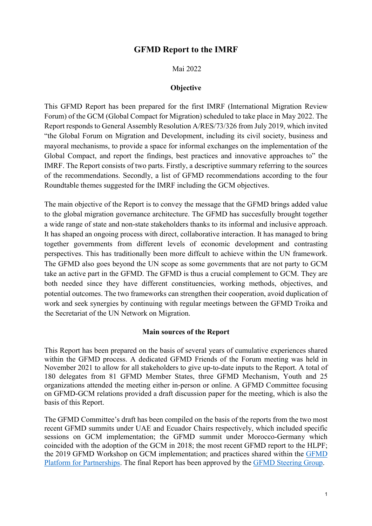# GFMD Report to the IMRF

#### Mai 2022

#### **Objective**

This GFMD Report has been prepared for the first IMRF (International Migration Review Forum) of the GCM (Global Compact for Migration) scheduled to take place in May 2022. The Report responds to General Assembly Resolution A/RES/73/326 from July 2019, which invited "the Global Forum on Migration and Development, including its civil society, business and mayoral mechanisms, to provide a space for informal exchanges on the implementation of the Global Compact, and report the findings, best practices and innovative approaches to" the IMRF. The Report consists of two parts. Firstly, a descriptive summary referring to the sources of the recommendations. Secondly, a list of GFMD recommendations according to the four Roundtable themes suggested for the IMRF including the GCM objectives.

The main objective of the Report is to convey the message that the GFMD brings added value to the global migration governance architecture. The GFMD has succesfully brought together a wide range of state and non-state stakeholders thanks to its informal and inclusive approach. It has shaped an ongoing process with direct, collaborative interaction. It has managed to bring together governments from different levels of economic development and contrasting perspectives. This has traditionally been more diffcult to achieve within the UN framework. The GFMD also goes beyond the UN scope as some governments that are not party to GCM take an active part in the GFMD. The GFMD is thus a crucial complement to GCM. They are both needed since they have different constituencies, working methods, objectives, and potential outcomes. The two frameworks can strengthen their cooperation, avoid duplication of work and seek synergies by continuing with regular meetings between the GFMD Troika and the Secretariat of the UN Network on Migration.

#### Main sources of the Report

This Report has been prepared on the basis of several years of cumulative experiences shared within the GFMD process. A dedicated GFMD Friends of the Forum meeting was held in November 2021 to allow for all stakeholders to give up-to-date inputs to the Report. A total of 180 delegates from 81 GFMD Member States, three GFMD Mechanism, Youth and 25 organizations attended the meeting either in-person or online. A GFMD Committee focusing on GFMD-GCM relations provided a draft discussion paper for the meeting, which is also the basis of this Report.

The GFMD Committee's draft has been compiled on the basis of the reports from the two most recent GFMD summits under UAE and Ecuador Chairs respectively, which included specific sessions on GCM implementation; the GFMD summit under Morocco-Germany which coincided with the adoption of the GCM in 2018; the most recent GFMD report to the HLPF; the 2019 GFMD Workshop on GCM implementation; and practices shared within the GFMD Platform for Partnerships. The final Report has been approved by the GFMD Steering Group.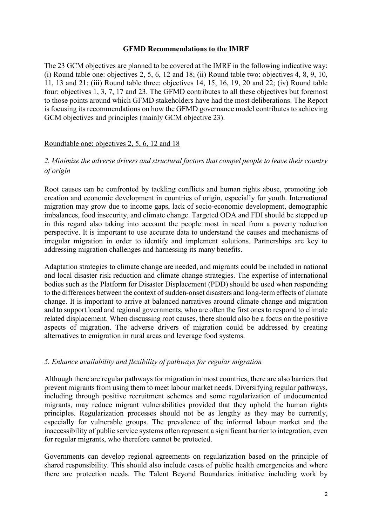#### GFMD Recommendations to the IMRF

The 23 GCM objectives are planned to be covered at the IMRF in the following indicative way: (i) Round table one: objectives 2, 5, 6, 12 and 18; (ii) Round table two: objectives 4, 8, 9, 10, 11, 13 and 21; (iii) Round table three: objectives 14, 15, 16, 19, 20 and 22; (iv) Round table four: objectives 1, 3, 7, 17 and 23. The GFMD contributes to all these objectives but foremost to those points around which GFMD stakeholders have had the most deliberations. The Report is focusing its recommendations on how the GFMD governance model contributes to achieving GCM objectives and principles (mainly GCM objective 23).

## Roundtable one: objectives 2, 5, 6, 12 and 18

## 2. Minimize the adverse drivers and structural factors that compel people to leave their country of origin

Root causes can be confronted by tackling conflicts and human rights abuse, promoting job creation and economic development in countries of origin, especially for youth. International migration may grow due to income gaps, lack of socio-economic development, demographic imbalances, food insecurity, and climate change. Targeted ODA and FDI should be stepped up in this regard also taking into account the people most in need from a poverty reduction perspective. It is important to use accurate data to understand the causes and mechanisms of irregular migration in order to identify and implement solutions. Partnerships are key to addressing migration challenges and harnessing its many benefits.

Adaptation strategies to climate change are needed, and migrants could be included in national and local disaster risk reduction and climate change strategies. The expertise of international bodies such as the Platform for Disaster Displacement (PDD) should be used when responding to the differences between the context of sudden-onset disasters and long-term effects of climate change. It is important to arrive at balanced narratives around climate change and migration and to support local and regional governments, who are often the first ones to respond to climate related displacement. When discussing root causes, there should also be a focus on the positive aspects of migration. The adverse drivers of migration could be addressed by creating alternatives to emigration in rural areas and leverage food systems.

## 5. Enhance availability and flexibility of pathways for regular migration

Although there are regular pathways for migration in most countries, there are also barriers that prevent migrants from using them to meet labour market needs. Diversifying regular pathways, including through positive recruitment schemes and some regularization of undocumented migrants, may reduce migrant vulnerabilities provided that they uphold the human rights principles. Regularization processes should not be as lengthy as they may be currently, especially for vulnerable groups. The prevalence of the informal labour market and the inaccessibility of public service systems often represent a significant barrier to integration, even for regular migrants, who therefore cannot be protected.

Governments can develop regional agreements on regularization based on the principle of shared responsibility. This should also include cases of public health emergencies and where there are protection needs. The Talent Beyond Boundaries initiative including work by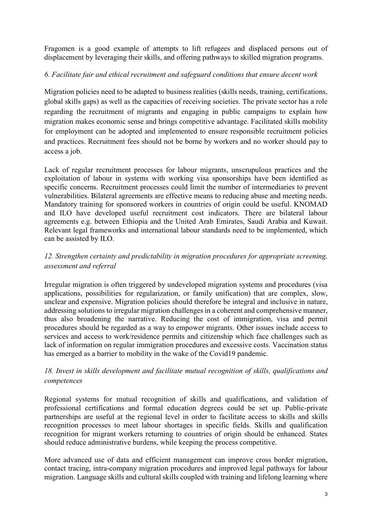Fragomen is a good example of attempts to lift refugees and displaced persons out of displacement by leveraging their skills, and offering pathways to skilled migration programs.

## 6. Facilitate fair and ethical recruitment and safeguard conditions that ensure decent work

Migration policies need to be adapted to business realities (skills needs, training, certifications, global skills gaps) as well as the capacities of receiving societies. The private sector has a role regarding the recruitment of migrants and engaging in public campaigns to explain how migration makes economic sense and brings competitive advantage. Facilitated skills mobility for employment can be adopted and implemented to ensure responsible recruitment policies and practices. Recruitment fees should not be borne by workers and no worker should pay to access a job.

Lack of regular recruitment processes for labour migrants, unscrupulous practices and the exploitation of labour in systems with working visa sponsorships have been identified as specific concerns. Recruitment processes could limit the number of intermediaries to prevent vulnerabilities. Bilateral agreements are effective means to reducing abuse and meeting needs. Mandatory training for sponsored workers in countries of origin could be useful. KNOMAD and ILO have developed useful recruitment cost indicators. There are bilateral labour agreements e.g. between Ethiopia and the United Arab Emirates, Saudi Arabia and Kuwait. Relevant legal frameworks and international labour standards need to be implemented, which can be assisted by ILO.

# 12. Strengthen certainty and predictability in migration procedures for appropriate screening, assessment and referral

Irregular migration is often triggered by undeveloped migration systems and procedures (visa applications, possibilities for regularization, or family unification) that are complex, slow, unclear and expensive. Migration policies should therefore be integral and inclusive in nature, addressing solutions to irregular migration challenges in a coherent and comprehensive manner, thus also broadening the narrative. Reducing the cost of immigration, visa and permit procedures should be regarded as a way to empower migrants. Other issues include access to services and access to work/residence permits and citizenship which face challenges such as lack of information on regular immigration procedures and excessive costs. Vaccination status has emerged as a barrier to mobility in the wake of the Covid19 pandemic.

# 18. Invest in skills development and facilitate mutual recognition of skills, qualifications and competences

Regional systems for mutual recognition of skills and qualifications, and validation of professional certifications and formal education degrees could be set up. Public-private partnerships are useful at the regional level in order to facilitate access to skills and skills recognition processes to meet labour shortages in specific fields. Skills and qualification recognition for migrant workers returning to countries of origin should be enhanced. States should reduce administrative burdens, while keeping the process competitive.

More advanced use of data and efficient management can improve cross border migration, contact tracing, intra-company migration procedures and improved legal pathways for labour migration. Language skills and cultural skills coupled with training and lifelong learning where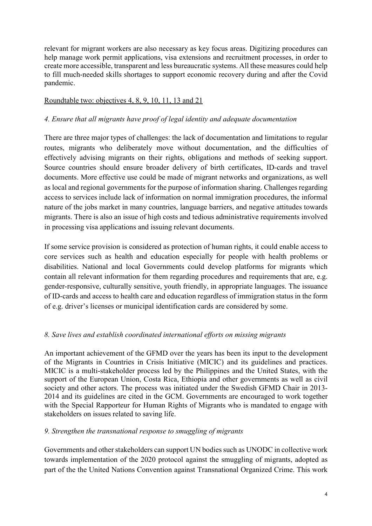relevant for migrant workers are also necessary as key focus areas. Digitizing procedures can help manage work permit applications, visa extensions and recruitment processes, in order to create more accessible, transparent and less bureaucratic systems. All these measures could help to fill much-needed skills shortages to support economic recovery during and after the Covid pandemic.

## Roundtable two: objectives 4, 8, 9, 10, 11, 13 and 21

## 4. Ensure that all migrants have proof of legal identity and adequate documentation

There are three major types of challenges: the lack of documentation and limitations to regular routes, migrants who deliberately move without documentation, and the difficulties of effectively advising migrants on their rights, obligations and methods of seeking support. Source countries should ensure broader delivery of birth certificates, ID-cards and travel documents. More effective use could be made of migrant networks and organizations, as well as local and regional governments for the purpose of information sharing. Challenges regarding access to services include lack of information on normal immigration procedures, the informal nature of the jobs market in many countries, language barriers, and negative attitudes towards migrants. There is also an issue of high costs and tedious administrative requirements involved in processing visa applications and issuing relevant documents.

If some service provision is considered as protection of human rights, it could enable access to core services such as health and education especially for people with health problems or disabilities. National and local Governments could develop platforms for migrants which contain all relevant information for them regarding procedures and requirements that are, e.g. gender-responsive, culturally sensitive, youth friendly, in appropriate languages. The issuance of ID-cards and access to health care and education regardless of immigration status in the form of e.g. driver's licenses or municipal identification cards are considered by some.

## 8. Save lives and establish coordinated international efforts on missing migrants

An important achievement of the GFMD over the years has been its input to the development of the Migrants in Countries in Crisis Initiative (MICIC) and its guidelines and practices. MICIC is a multi-stakeholder process led by the Philippines and the United States, with the support of the European Union, Costa Rica, Ethiopia and other governments as well as civil society and other actors. The process was initiated under the Swedish GFMD Chair in 2013- 2014 and its guidelines are cited in the GCM. Governments are encouraged to work together with the Special Rapporteur for Human Rights of Migrants who is mandated to engage with stakeholders on issues related to saving life.

## 9. Strengthen the transnational response to smuggling of migrants

Governments and other stakeholders can support UN bodies such as UNODC in collective work towards implementation of the 2020 protocol against the smuggling of migrants, adopted as part of the the United Nations Convention against Transnational Organized Crime. This work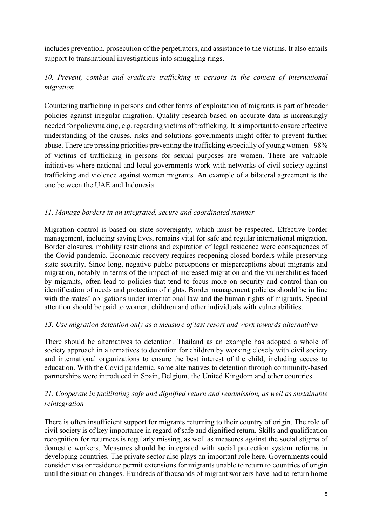includes prevention, prosecution of the perpetrators, and assistance to the victims. It also entails support to transnational investigations into smuggling rings.

# 10. Prevent, combat and eradicate trafficking in persons in the context of international migration

Countering trafficking in persons and other forms of exploitation of migrants is part of broader policies against irregular migration. Quality research based on accurate data is increasingly needed for policymaking, e.g. regarding victims of trafficking. It is important to ensure effective understanding of the causes, risks and solutions governments might offer to prevent further abuse. There are pressing priorities preventing the trafficking especially of young women - 98% of victims of trafficking in persons for sexual purposes are women. There are valuable initiatives where national and local governments work with networks of civil society against trafficking and violence against women migrants. An example of a bilateral agreement is the one between the UAE and Indonesia.

# 11. Manage borders in an integrated, secure and coordinated manner

Migration control is based on state sovereignty, which must be respected. Effective border management, including saving lives, remains vital for safe and regular international migration. Border closures, mobility restrictions and expiration of legal residence were consequences of the Covid pandemic. Economic recovery requires reopening closed borders while preserving state security. Since long, negative public perceptions or misperceptions about migrants and migration, notably in terms of the impact of increased migration and the vulnerabilities faced by migrants, often lead to policies that tend to focus more on security and control than on identification of needs and protection of rights. Border management policies should be in line with the states' obligations under international law and the human rights of migrants. Special attention should be paid to women, children and other individuals with vulnerabilities.

## 13. Use migration detention only as a measure of last resort and work towards alternatives

There should be alternatives to detention. Thailand as an example has adopted a whole of society approach in alternatives to detention for children by working closely with civil society and international organizations to ensure the best interest of the child, including access to education. With the Covid pandemic, some alternatives to detention through community-based partnerships were introduced in Spain, Belgium, the United Kingdom and other countries.

# 21. Cooperate in facilitating safe and dignified return and readmission, as well as sustainable reintegration

There is often insufficient support for migrants returning to their country of origin. The role of civil society is of key importance in regard of safe and dignified return. Skills and qualification recognition for returnees is regularly missing, as well as measures against the social stigma of domestic workers. Measures should be integrated with social protection system reforms in developing countries. The private sector also plays an important role here. Governments could consider visa or residence permit extensions for migrants unable to return to countries of origin until the situation changes. Hundreds of thousands of migrant workers have had to return home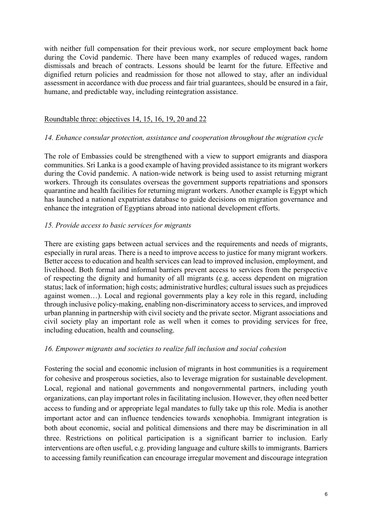with neither full compensation for their previous work, nor secure employment back home during the Covid pandemic. There have been many examples of reduced wages, random dismissals and breach of contracts. Lessons should be learnt for the future. Effective and dignified return policies and readmission for those not allowed to stay, after an individual assessment in accordance with due process and fair trial guarantees, should be ensured in a fair, humane, and predictable way, including reintegration assistance.

### Roundtable three: objectives 14, 15, 16, 19, 20 and 22

### 14. Enhance consular protection, assistance and cooperation throughout the migration cycle

The role of Embassies could be strengthened with a view to support emigrants and diaspora communities. Sri Lanka is a good example of having provided assistance to its migrant workers during the Covid pandemic. A nation-wide network is being used to assist returning migrant workers. Through its consulates overseas the government supports repatriations and sponsors quarantine and health facilities for returning migrant workers. Another example is Egypt which has launched a national expatriates database to guide decisions on migration governance and enhance the integration of Egyptians abroad into national development efforts.

### 15. Provide access to basic services for migrants

There are existing gaps between actual services and the requirements and needs of migrants, especially in rural areas. There is a need to improve access to justice for many migrant workers. Better access to education and health services can lead to improved inclusion, employment, and livelihood. Both formal and informal barriers prevent access to services from the perspective of respecting the dignity and humanity of all migrants (e.g. access dependent on migration status; lack of information; high costs; administrative hurdles; cultural issues such as prejudices against women…). Local and regional governments play a key role in this regard, including through inclusive policy-making, enabling non-discriminatory access to services, and improved urban planning in partnership with civil society and the private sector. Migrant associations and civil society play an important role as well when it comes to providing services for free, including education, health and counseling.

#### 16. Empower migrants and societies to realize full inclusion and social cohesion

Fostering the social and economic inclusion of migrants in host communities is a requirement for cohesive and prosperous societies, also to leverage migration for sustainable development. Local, regional and national governments and nongovernmental partners, including youth organizations, can play important roles in facilitating inclusion. However, they often need better access to funding and or appropriate legal mandates to fully take up this role. Media is another important actor and can influence tendencies towards xenophobia. Immigrant integration is both about economic, social and political dimensions and there may be discrimination in all three. Restrictions on political participation is a significant barrier to inclusion. Early interventions are often useful, e.g. providing language and culture skills to immigrants. Barriers to accessing family reunification can encourage irregular movement and discourage integration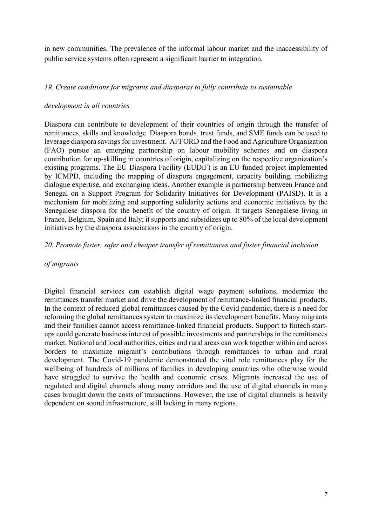in new communities. The prevalence of the informal labour market and the inaccessibility of public service systems often represent a significant barrier to integration.

## 19. Create conditions for migrants and diasporas to fully contribute to sustainable

### development in all countries

Diaspora can contribute to development of their countries of origin through the transfer of remittances, skills and knowledge. Diaspora bonds, trust funds, and SME funds can be used to leverage diaspora savings for investment. AFFORD and the Food and Agriculture Organization (FAO) pursue an emerging partnership on labour mobility schemes and on diaspora contribution for up-skilling in countries of origin, capitalizing on the respective organization's existing programs. The EU Diaspora Facility (EUDiF) is an EU-funded project implemented by ICMPD, including the mapping of diaspora engagement, capacity building, mobilizing dialogue expertise, and exchanging ideas. Another example is partnership between France and Senegal on a Support Program for Solidarity Initiatives for Development (PAISD). It is a mechanism for mobilizing and supporting solidarity actions and economic initiatives by the Senegalese diaspora for the benefit of the country of origin. It targets Senegalese living in France, Belgium, Spain and Italy; it supports and subsidizes up to 80% of the local development initiatives by the diaspora associations in the country of origin.

### 20. Promote faster, safer and cheaper transfer of remittances and foster financial inclusion

#### of migrants

Digital financial services can establish digital wage payment solutions, modernize the remittances transfer market and drive the development of remittance-linked financial products. In the context of reduced global remittances caused by the Covid pandemic, there is a need for reforming the global remittances system to maximize its development benefits. Many migrants and their families cannot access remittance-linked financial products. Support to fintech startups could generate business interest of possible investments and partnerships in the remittances market. National and local authorities, cities and rural areas can work together within and across borders to maximize migrant's contributions through remittances to urban and rural development. The Covid-19 pandemic demonstrated the vital role remittances play for the wellbeing of hundreds of millions of families in developing countries who otherwise would have struggled to survive the health and economic crises. Migrants increased the use of regulated and digital channels along many corridors and the use of digital channels in many cases brought down the costs of transactions. However, the use of digital channels is heavily dependent on sound infrastructure, still lacking in many regions.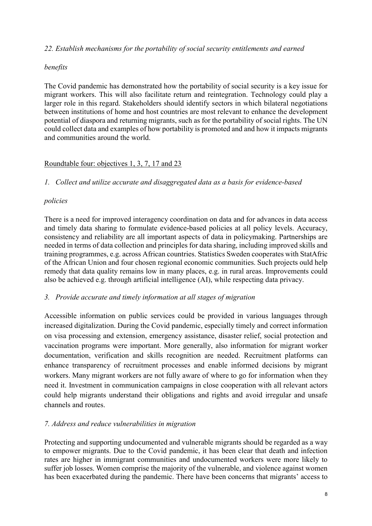### 22. Establish mechanisms for the portability of social security entitlements and earned

### benefits

The Covid pandemic has demonstrated how the portability of social security is a key issue for migrant workers. This will also facilitate return and reintegration. Technology could play a larger role in this regard. Stakeholders should identify sectors in which bilateral negotiations between institutions of home and host countries are most relevant to enhance the development potential of diaspora and returning migrants, such as for the portability of social rights. The UN could collect data and examples of how portability is promoted and and how it impacts migrants and communities around the world.

## Roundtable four: objectives 1, 3, 7, 17 and 23

### 1. Collect and utilize accurate and disaggregated data as a basis for evidence-based

### policies

There is a need for improved interagency coordination on data and for advances in data access and timely data sharing to formulate evidence-based policies at all policy levels. Accuracy, consistency and reliability are all important aspects of data in policymaking. Partnerships are needed in terms of data collection and principles for data sharing, including improved skills and training programmes, e.g. across African countries. Statistics Sweden cooperates with StatAfric of the African Union and four chosen regional economic communities. Such projects ould help remedy that data quality remains low in many places, e.g. in rural areas. Improvements could also be achieved e.g. through artificial intelligence (AI), while respecting data privacy.

#### 3. Provide accurate and timely information at all stages of migration

Accessible information on public services could be provided in various languages through increased digitalization. During the Covid pandemic, especially timely and correct information on visa processing and extension, emergency assistance, disaster relief, social protection and vaccination programs were important. More generally, also information for migrant worker documentation, verification and skills recognition are needed. Recruitment platforms can enhance transparency of recruitment processes and enable informed decisions by migrant workers. Many migrant workers are not fully aware of where to go for information when they need it. Investment in communication campaigns in close cooperation with all relevant actors could help migrants understand their obligations and rights and avoid irregular and unsafe channels and routes.

## 7. Address and reduce vulnerabilities in migration

Protecting and supporting undocumented and vulnerable migrants should be regarded as a way to empower migrants. Due to the Covid pandemic, it has been clear that death and infection rates are higher in immigrant communities and undocumented workers were more likely to suffer job losses. Women comprise the majority of the vulnerable, and violence against women has been exacerbated during the pandemic. There have been concerns that migrants' access to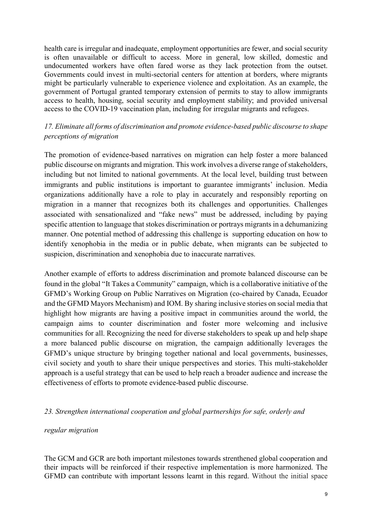health care is irregular and inadequate, employment opportunities are fewer, and social security is often unavailable or difficult to access. More in general, low skilled, domestic and undocumented workers have often fared worse as they lack protection from the outset. Governments could invest in multi-sectorial centers for attention at borders, where migrants might be particularly vulnerable to experience violence and exploitation. As an example, the government of Portugal granted temporary extension of permits to stay to allow immigrants access to health, housing, social security and employment stability; and provided universal access to the COVID-19 vaccination plan, including for irregular migrants and refugees.

# 17. Eliminate all forms of discrimination and promote evidence-based public discourse to shape perceptions of migration

The promotion of evidence-based narratives on migration can help foster a more balanced public discourse on migrants and migration. This work involves a diverse range of stakeholders, including but not limited to national governments. At the local level, building trust between immigrants and public institutions is important to guarantee immigrants' inclusion. Media organizations additionally have a role to play in accurately and responsibly reporting on migration in a manner that recognizes both its challenges and opportunities. Challenges associated with sensationalized and "fake news" must be addressed, including by paying specific attention to language that stokes discrimination or portrays migrants in a dehumanizing manner. One potential method of addressing this challenge is supporting education on how to identify xenophobia in the media or in public debate, when migrants can be subjected to suspicion, discrimination and xenophobia due to inaccurate narratives.

Another example of efforts to address discrimination and promote balanced discourse can be found in the global "It Takes a Community" campaign, which is a collaborative initiative of the GFMD's Working Group on Public Narratives on Migration (co-chaired by Canada, Ecuador and the GFMD Mayors Mechanism) and IOM. By sharing inclusive stories on social media that highlight how migrants are having a positive impact in communities around the world, the campaign aims to counter discrimination and foster more welcoming and inclusive communities for all. Recognizing the need for diverse stakeholders to speak up and help shape a more balanced public discourse on migration, the campaign additionally leverages the GFMD's unique structure by bringing together national and local governments, businesses, civil society and youth to share their unique perspectives and stories. This multi-stakeholder approach is a useful strategy that can be used to help reach a broader audience and increase the effectiveness of efforts to promote evidence-based public discourse.

## 23. Strengthen international cooperation and global partnerships for safe, orderly and

#### regular migration

The GCM and GCR are both important milestones towards strenthened global cooperation and their impacts will be reinforced if their respective implementation is more harmonized. The GFMD can contribute with important lessons learnt in this regard. Without the initial space